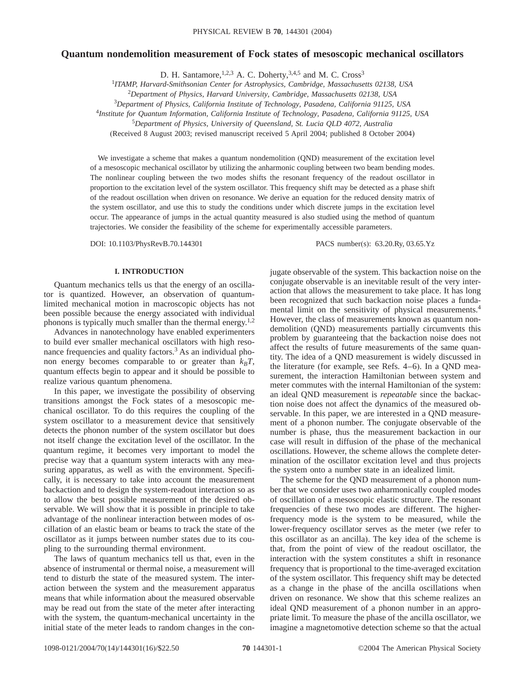# **Quantum nondemolition measurement of Fock states of mesoscopic mechanical oscillators**

D. H. Santamore,<sup>1,2,3</sup> A. C. Doherty,<sup>3,4,5</sup> and M. C. Cross<sup>3</sup>

<sup>1</sup>*ITAMP, Harvard-Smithsonian Center for Astrophysics, Cambridge, Massachusetts 02138, USA*

2 *Department of Physics, Harvard University, Cambridge, Massachusetts 02138, USA*

<sup>3</sup>*Department of Physics, California Institute of Technology, Pasadena, California 91125, USA*

<sup>4</sup>*Institute for Quantum Information, California Institute of Technology, Pasadena, California 91125, USA*

<sup>5</sup>*Department of Physics, University of Queensland, St. Lucia QLD 4072, Australia*

(Received 8 August 2003; revised manuscript received 5 April 2004; published 8 October 2004)

We investigate a scheme that makes a quantum nondemolition (OND) measurement of the excitation level of a mesoscopic mechanical oscillator by utilizing the anharmonic coupling between two beam bending modes. The nonlinear coupling between the two modes shifts the resonant frequency of the readout oscillator in proportion to the excitation level of the system oscillator. This frequency shift may be detected as a phase shift of the readout oscillation when driven on resonance. We derive an equation for the reduced density matrix of the system oscillator, and use this to study the conditions under which discrete jumps in the excitation level occur. The appearance of jumps in the actual quantity measured is also studied using the method of quantum trajectories. We consider the feasibility of the scheme for experimentally accessible parameters.

DOI: 10.1103/PhysRevB.70.144301 PACS number(s): 63.20.Ry, 03.65.Yz

# **I. INTRODUCTION**

Quantum mechanics tells us that the energy of an oscillator is quantized. However, an observation of quantumlimited mechanical motion in macroscopic objects has not been possible because the energy associated with individual phonons is typically much smaller than the thermal energy.<sup>1,2</sup>

Advances in nanotechnology have enabled experimenters to build ever smaller mechanical oscillators with high resonance frequencies and quality factors.<sup>3</sup> As an individual phonon energy becomes comparable to or greater than  $k_B T$ , quantum effects begin to appear and it should be possible to realize various quantum phenomena.

In this paper, we investigate the possibility of observing transitions amongst the Fock states of a mesoscopic mechanical oscillator. To do this requires the coupling of the system oscillator to a measurement device that sensitively detects the phonon number of the system oscillator but does not itself change the excitation level of the oscillator. In the quantum regime, it becomes very important to model the precise way that a quantum system interacts with any measuring apparatus, as well as with the environment. Specifically, it is necessary to take into account the measurement backaction and to design the system-readout interaction so as to allow the best possible measurement of the desired observable. We will show that it is possible in principle to take advantage of the nonlinear interaction between modes of oscillation of an elastic beam or beams to track the state of the oscillator as it jumps between number states due to its coupling to the surrounding thermal environment.

The laws of quantum mechanics tell us that, even in the absence of instrumental or thermal noise, a measurement will tend to disturb the state of the measured system. The interaction between the system and the measurement apparatus means that while information about the measured observable may be read out from the state of the meter after interacting with the system, the quantum-mechanical uncertainty in the initial state of the meter leads to random changes in the conjugate observable of the system. This backaction noise on the conjugate observable is an inevitable result of the very interaction that allows the measurement to take place. It has long been recognized that such backaction noise places a fundamental limit on the sensitivity of physical measurements.<sup>4</sup> However, the class of measurements known as quantum nondemolition (QND) measurements partially circumvents this problem by guaranteeing that the backaction noise does not affect the results of future measurements of the same quantity. The idea of a QND measurement is widely discussed in the literature (for example, see Refs. 4–6). In a QND measurement, the interaction Hamiltonian between system and meter commutes with the internal Hamiltonian of the system: an ideal QND measurement is *repeatable* since the backaction noise does not affect the dynamics of the measured observable. In this paper, we are interested in a QND measurement of a phonon number. The conjugate observable of the number is phase, thus the measurement backaction in our case will result in diffusion of the phase of the mechanical oscillations. However, the scheme allows the complete determination of the oscillator excitation level and thus projects the system onto a number state in an idealized limit.

The scheme for the QND measurement of a phonon number that we consider uses two anharmonically coupled modes of oscillation of a mesoscopic elastic structure. The resonant frequencies of these two modes are different. The higherfrequency mode is the system to be measured, while the lower-frequency oscillator serves as the meter (we refer to this oscillator as an ancilla). The key idea of the scheme is that, from the point of view of the readout oscillator, the interaction with the system constitutes a shift in resonance frequency that is proportional to the time-averaged excitation of the system oscillator. This frequency shift may be detected as a change in the phase of the ancilla oscillations when driven on resonance. We show that this scheme realizes an ideal QND measurement of a phonon number in an appropriate limit. To measure the phase of the ancilla oscillator, we imagine a magnetomotive detection scheme so that the actual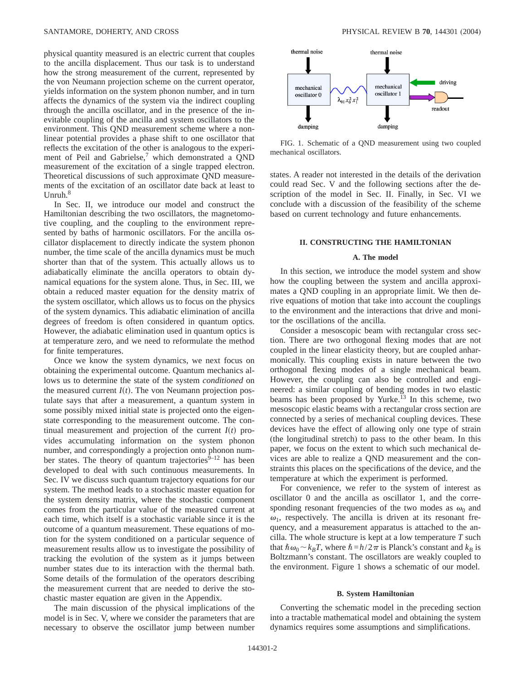physical quantity measured is an electric current that couples to the ancilla displacement. Thus our task is to understand how the strong measurement of the current, represented by the von Neumann projection scheme on the current operator, yields information on the system phonon number, and in turn affects the dynamics of the system via the indirect coupling through the ancilla oscillator, and in the presence of the inevitable coupling of the ancilla and system oscillators to the environment. This QND measurement scheme where a nonlinear potential provides a phase shift to one oscillator that reflects the excitation of the other is analogous to the experiment of Peil and Gabrielse, $7$  which demonstrated a QND measurement of the excitation of a single trapped electron. Theoretical discussions of such approximate QND measurements of the excitation of an oscillator date back at least to Unruh.<sup>8</sup>

In Sec. II, we introduce our model and construct the Hamiltonian describing the two oscillators, the magnetomotive coupling, and the coupling to the environment represented by baths of harmonic oscillators. For the ancilla oscillator displacement to directly indicate the system phonon number, the time scale of the ancilla dynamics must be much shorter than that of the system. This actually allows us to adiabatically eliminate the ancilla operators to obtain dynamical equations for the system alone. Thus, in Sec. III, we obtain a reduced master equation for the density matrix of the system oscillator, which allows us to focus on the physics of the system dynamics. This adiabatic elimination of ancilla degrees of freedom is often considered in quantum optics. However, the adiabatic elimination used in quantum optics is at temperature zero, and we need to reformulate the method for finite temperatures.

Once we know the system dynamics, we next focus on obtaining the experimental outcome. Quantum mechanics allows us to determine the state of the system *conditioned* on the measured current  $I(t)$ . The von Neumann projection postulate says that after a measurement, a quantum system in some possibly mixed initial state is projected onto the eigenstate corresponding to the measurement outcome. The continual measurement and projection of the current  $I(t)$  provides accumulating information on the system phonon number, and correspondingly a projection onto phonon number states. The theory of quantum trajectories $\bar{9}$ –12 has been developed to deal with such continuous measurements. In Sec. IV we discuss such quantum trajectory equations for our system. The method leads to a stochastic master equation for the system density matrix, where the stochastic component comes from the particular value of the measured current at each time, which itself is a stochastic variable since it is the outcome of a quantum measurement. These equations of motion for the system conditioned on a particular sequence of measurement results allow us to investigate the possibility of tracking the evolution of the system as it jumps between number states due to its interaction with the thermal bath. Some details of the formulation of the operators describing the measurement current that are needed to derive the stochastic master equation are given in the Appendix.

The main discussion of the physical implications of the model is in Sec. V, where we consider the parameters that are necessary to observe the oscillator jump between number



FIG. 1. Schematic of a QND measurement using two coupled mechanical oscillators.

states. A reader not interested in the details of the derivation could read Sec. V and the following sections after the description of the model in Sec. II. Finally, in Sec. VI we conclude with a discussion of the feasibility of the scheme based on current technology and future enhancements.

#### **II. CONSTRUCTING THE HAMILTONIAN**

#### **A. The model**

In this section, we introduce the model system and show how the coupling between the system and ancilla approximates a QND coupling in an appropriate limit. We then derive equations of motion that take into account the couplings to the environment and the interactions that drive and monitor the oscillations of the ancilla.

Consider a mesoscopic beam with rectangular cross section. There are two orthogonal flexing modes that are not coupled in the linear elasticity theory, but are coupled anharmonically. This coupling exists in nature between the two orthogonal flexing modes of a single mechanical beam. However, the coupling can also be controlled and engineered: a similar coupling of bending modes in two elastic beams has been proposed by Yurke.<sup>13</sup> In this scheme, two mesoscopic elastic beams with a rectangular cross section are connected by a series of mechanical coupling devices. These devices have the effect of allowing only one type of strain (the longitudinal stretch) to pass to the other beam. In this paper, we focus on the extent to which such mechanical devices are able to realize a QND measurement and the constraints this places on the specifications of the device, and the temperature at which the experiment is performed.

For convenience, we refer to the system of interest as oscillator 0 and the ancilla as oscillator 1, and the corresponding resonant frequencies of the two modes as  $\omega_0$  and  $\omega_1$ , respectively. The ancilla is driven at its resonant frequency, and a measurement apparatus is attached to the ancilla. The whole structure is kept at a low temperature *T* such that  $\hbar \omega_0 \sim k_B T$ , where  $\hbar = h/2\pi$  is Planck's constant and  $k_B$  is Boltzmann's constant. The oscillators are weakly coupled to the environment. Figure 1 shows a schematic of our model.

### **B. System Hamiltonian**

Converting the schematic model in the preceding section into a tractable mathematical model and obtaining the system dynamics requires some assumptions and simplifications.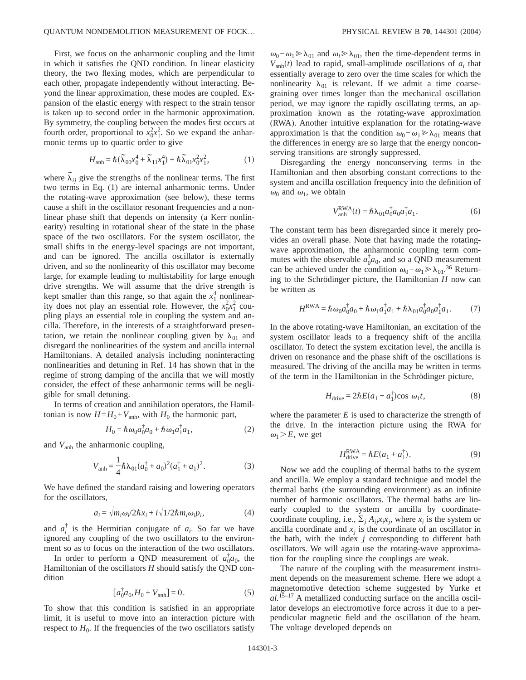First, we focus on the anharmonic coupling and the limit in which it satisfies the QND condition. In linear elasticity theory, the two flexing modes, which are perpendicular to each other, propagate independently without interacting. Beyond the linear approximation, these modes are coupled. Expansion of the elastic energy with respect to the strain tensor is taken up to second order in the harmonic approximation. By symmetry, the coupling between the modes first occurs at fourth order, proportional to  $x_0^2 x_1^2$ . So we expand the anharmonic terms up to quartic order to give

$$
H_{\text{anh}} = \hbar (\tilde{\lambda}_{00} x_0^4 + \tilde{\lambda}_{11} x_1^4) + \hbar \tilde{\lambda}_{01} x_0^2 x_1^2, \tag{1}
$$

where  $\tilde{\lambda}_{ij}$  give the strengths of the nonlinear terms. The first two terms in Eq. (1) are internal anharmonic terms. Under the rotating-wave approximation (see below), these terms cause a shift in the oscillator resonant frequencies and a nonlinear phase shift that depends on intensity (a Kerr nonlinearity) resulting in rotational shear of the state in the phase space of the two oscillators. For the system oscillator, the small shifts in the energy-level spacings are not important, and can be ignored. The ancilla oscillator is externally driven, and so the nonlinearity of this oscillator may become large, for example leading to multistability for large enough drive strengths. We will assume that the drive strength is kept smaller than this range, so that again the  $x_1^4$  nonlinearity does not play an essential role. However, the  $x_0^2 x_1^2$  coupling plays an essential role in coupling the system and ancilla. Therefore, in the interests of a straightforward presentation, we retain the nonlinear coupling given by  $\lambda_{01}$  and disregard the nonlinearities of the system and ancilla internal Hamiltonians. A detailed analysis including noninteracting nonlinearities and detuning in Ref. 14 has shown that in the regime of strong damping of the ancilla that we will mostly consider, the effect of these anharmonic terms will be negligible for small detuning.

In terms of creation and annihilation operators, the Hamiltonian is now  $H = H_0 + V_{anh}$ , with  $H_0$  the harmonic part,

$$
H_0 = \hbar \omega_0 a_0^{\dagger} a_0 + \hbar \omega_1 a_1^{\dagger} a_1, \qquad (2)
$$

and *V*anh the anharmonic coupling,

$$
V_{\text{anh}} = \frac{1}{4} \hbar \lambda_{01} (a_0^{\dagger} + a_0)^2 (a_1^{\dagger} + a_1)^2.
$$
 (3)

We have defined the standard raising and lowering operators for the oscillators,

$$
a_i = \sqrt{m_i \omega_i / 2\hbar} x_i + i \sqrt{1/2\hbar m_i \omega_i p_i},\tag{4}
$$

and  $a_i^{\dagger}$  is the Hermitian conjugate of  $a_i$ . So far we have ignored any coupling of the two oscillators to the environment so as to focus on the interaction of the two oscillators.

In order to perform a QND measurement of  $a_0^{\dagger}a_0$ , the Hamiltonian of the oscillators *H* should satisfy the QND condition

$$
[a_0^{\dagger} a_0, H_0 + V_{\text{anh}}] = 0.
$$
 (5)

To show that this condition is satisfied in an appropriate limit, it is useful to move into an interaction picture with respect to  $H_0$ . If the frequencies of the two oscillators satisfy  $\omega_0 - \omega_1 \ge \lambda_{01}$  and  $\omega_i \ge \lambda_{01}$ , then the time-dependent terms in  $V_{anh}(t)$  lead to rapid, small-amplitude oscillations of  $a_i$  that essentially average to zero over the time scales for which the nonlinearity  $\lambda_{01}$  is relevant. If we admit a time coarsegraining over times longer than the mechanical oscillation period, we may ignore the rapidly oscillating terms, an approximation known as the rotating-wave approximation (RWA). Another intuitive explanation for the rotating-wave approximation is that the condition  $\omega_0 - \omega_1 \ge \lambda_{01}$  means that the differences in energy are so large that the energy nonconserving transitions are strongly suppressed.

Disregarding the energy nonconserving terms in the Hamiltonian and then absorbing constant corrections to the system and ancilla oscillation frequency into the definition of  $\omega_0$  and  $\omega_1$ , we obtain

$$
V_{\text{anh}}^{\text{RWA}}(t) = \hbar \lambda_{01} a_0^{\dagger} a_0 a_1^{\dagger} a_1. \tag{6}
$$

The constant term has been disregarded since it merely provides an overall phase. Note that having made the rotatingwave approximation, the anharmonic coupling term commutes with the observable  $a_0^{\dagger} a_0$ , and so a QND measurement can be achieved under the condition  $\omega_0 - \omega_1 \ge \lambda_{01}$ <sup>36</sup> Returning to the Schrödinger picture, the Hamiltonian *H* now can be written as

$$
H^{\text{RWA}} = \hbar \omega_0 a_0^{\dagger} a_0 + \hbar \omega_1 a_1^{\dagger} a_1 + \hbar \lambda_{01} a_0^{\dagger} a_0 a_1^{\dagger} a_1. \tag{7}
$$

In the above rotating-wave Hamiltonian, an excitation of the system oscillator leads to a frequency shift of the ancilla oscillator. To detect the system excitation level, the ancilla is driven on resonance and the phase shift of the oscillations is measured. The driving of the ancilla may be written in terms of the term in the Hamiltonian in the Schrödinger picture,

$$
H_{\text{drive}} = 2\hbar E(a_1 + a_1^{\dagger}) \cos \omega_1 t, \tag{8}
$$

where the parameter  $E$  is used to characterize the strength of the drive. In the interaction picture using the RWA for  $\omega_1$ *>E*, we get

$$
H_{\text{drive}}^{\text{RWA}} = \hbar E(a_1 + a_1^{\dagger}).\tag{9}
$$

Now we add the coupling of thermal baths to the system and ancilla. We employ a standard technique and model the thermal baths (the surrounding environment) as an infinite number of harmonic oscillators. The thermal baths are linearly coupled to the system or ancilla by coordinatecoordinate coupling, i.e.,  $\Sigma_j A_{ij} x_i x_j$ , where  $x_i$  is the system or ancilla coordinate and  $x_i$  is the coordinate of an oscillator in the bath, with the index *j* corresponding to different bath oscillators. We will again use the rotating-wave approximation for the coupling since the couplings are weak.

The nature of the coupling with the measurement instrument depends on the measurement scheme. Here we adopt a magnetomotive detection scheme suggested by Yurke *et al.*15–17 A metallized conducting surface on the ancilla oscillator develops an electromotive force across it due to a perpendicular magnetic field and the oscillation of the beam. The voltage developed depends on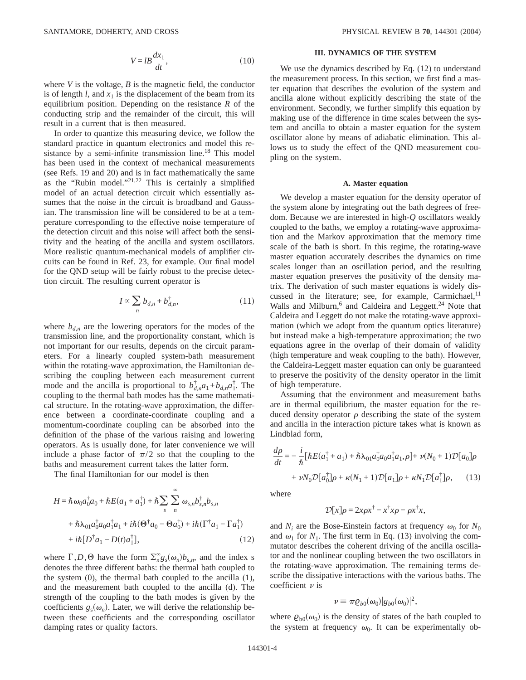$$
V = lB \frac{dx_1}{dt},\tag{10}
$$

where  $V$  is the voltage,  $B$  is the magnetic field, the conductor is of length  $l$ , and  $x_1$  is the displacement of the beam from its equilibrium position. Depending on the resistance *R* of the conducting strip and the remainder of the circuit, this will result in a current that is then measured.

In order to quantize this measuring device, we follow the standard practice in quantum electronics and model this resistance by a semi-infinite transmission line.<sup>18</sup> This model has been used in the context of mechanical measurements (see Refs. 19 and 20) and is in fact mathematically the same as the "Rubin model." $2^{1,22}$  This is certainly a simplified model of an actual detection circuit which essentially assumes that the noise in the circuit is broadband and Gaussian. The transmission line will be considered to be at a temperature corresponding to the effective noise temperature of the detection circuit and this noise will affect both the sensitivity and the heating of the ancilla and system oscillators. More realistic quantum-mechanical models of amplifier circuits can be found in Ref. 23, for example. Our final model for the QND setup will be fairly robust to the precise detection circuit. The resulting current operator is

$$
I \propto \sum_{n} b_{d,n} + b_{d,n}^{\dagger}, \qquad (11)
$$

where  $b_{d,n}$  are the lowering operators for the modes of the transmission line, and the proportionality constant, which is not important for our results, depends on the circuit parameters. For a linearly coupled system-bath measurement within the rotating-wave approximation, the Hamiltonian describing the coupling between each measurement current mode and the ancilla is proportional to  $b_{d,n}^{\dagger} a_1 + b_{d,n} a_1^{\dagger}$ . The coupling to the thermal bath modes has the same mathematical structure. In the rotating-wave approximation, the difference between a coordinate-coordinate coupling and a momentum-coordinate coupling can be absorbed into the definition of the phase of the various raising and lowering operators. As is usually done, for later convenience we will include a phase factor of  $\pi/2$  so that the coupling to the baths and measurement current takes the latter form.

The final Hamiltonian for our model is then

$$
H = \hbar \omega_0 a_0^{\dagger} a_0 + \hbar E(a_1 + a_1^{\dagger}) + \hbar \sum_{s} \sum_{n}^{\infty} \omega_{s,n} b_{s,n}^{\dagger} b_{s,n}
$$
  
+  $\hbar \lambda_{01} a_0^{\dagger} a_0 a_1^{\dagger} a_1 + i \hbar (\Theta^{\dagger} a_0 - \Theta a_0^{\dagger}) + i \hbar (\Gamma^{\dagger} a_1 - \Gamma a_1^{\dagger})$   
+  $i \hbar [\overline{D}^{\dagger} a_1 - D(t) a_1^{\dagger}],$  (12)

where  $\Gamma$ , *D*,  $\Theta$  have the form  $\sum_{n=0}^{\infty} g_s(\omega_n) b_{s,n}$ , and the index s denotes the three different baths: the thermal bath coupled to the system (0), the thermal bath coupled to the ancilla (1), and the measurement bath coupled to the ancilla (d). The strength of the coupling to the bath modes is given by the coefficients  $g_s(\omega_n)$ . Later, we will derive the relationship between these coefficients and the corresponding oscillator damping rates or quality factors.

# **III. DYNAMICS OF THE SYSTEM**

We use the dynamics described by Eq. (12) to understand the measurement process. In this section, we first find a master equation that describes the evolution of the system and ancilla alone without explicitly describing the state of the environment. Secondly, we further simplify this equation by making use of the difference in time scales between the system and ancilla to obtain a master equation for the system oscillator alone by means of adiabatic elimination. This allows us to study the effect of the QND measurement coupling on the system.

#### **A. Master equation**

We develop a master equation for the density operator of the system alone by integrating out the bath degrees of freedom. Because we are interested in high-*Q* oscillators weakly coupled to the baths, we employ a rotating-wave approximation and the Markov approximation that the memory time scale of the bath is short. In this regime, the rotating-wave master equation accurately describes the dynamics on time scales longer than an oscillation period, and the resulting master equation preserves the positivity of the density matrix. The derivation of such master equations is widely discussed in the literature; see, for example, Carmichael,<sup>11</sup> Walls and Milburn,<sup>6</sup> and Caldeira and Leggett.<sup>24</sup> Note that Caldeira and Leggett do not make the rotating-wave approximation (which we adopt from the quantum optics literature) but instead make a high-temperature approximation; the two equations agree in the overlap of their domain of validity (high temperature and weak coupling to the bath). However, the Caldeira-Leggett master equation can only be guaranteed to preserve the positivity of the density operator in the limit of high temperature.

Assuming that the environment and measurement baths are in thermal equilibrium, the master equation for the reduced density operator  $\rho$  describing the state of the system and ancilla in the interaction picture takes what is known as Lindblad form,

$$
\frac{d\rho}{dt} = -\frac{i}{\hbar} [\hbar E(a_1^{\dagger} + a_1) + \hbar \lambda_{01} a_0^{\dagger} a_0 a_1^{\dagger} a_1, \rho] + \nu (N_0 + 1) \mathcal{D}[a_0] \rho
$$

$$
+ \nu N_0 \mathcal{D}[a_0^{\dagger}] \rho + \kappa (N_1 + 1) \mathcal{D}[a_1] \rho + \kappa N_1 \mathcal{D}[a_1^{\dagger}] \rho, \qquad (13)
$$

where

$$
\mathcal{D}[x]\rho = 2x\rho x^{\dagger} - x^{\dagger}x\rho - \rho x^{\dagger}x,
$$

and  $N_i$  are the Bose-Einstein factors at frequency  $\omega_0$  for  $N_0$ and  $\omega_1$  for  $N_1$ . The first term in Eq. (13) involving the commutator describes the coherent driving of the ancilla oscillator and the nonlinear coupling between the two oscillators in the rotating-wave approximation. The remaining terms describe the dissipative interactions with the various baths. The coefficient  $\nu$  is

$$
\nu \equiv \pi \varrho_{b0}(\omega_0) |g_{b0}(\omega_0)|^2,
$$

where  $\varrho_{b0}(\omega_0)$  is the density of states of the bath coupled to the system at frequency  $\omega_0$ . It can be experimentally ob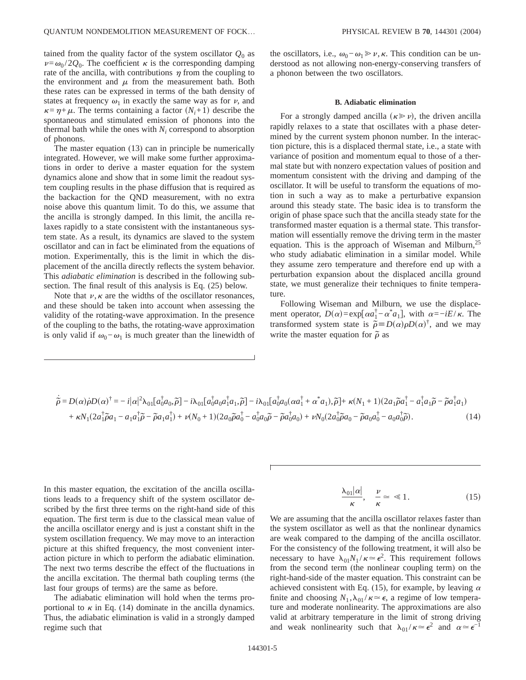tained from the quality factor of the system oscillator  $Q_0$  as  $\nu = \omega_0 / 2Q_0$ . The coefficient  $\kappa$  is the corresponding damping rate of the ancilla, with contributions  $\eta$  from the coupling to the environment and  $\mu$  from the measurement bath. Both these rates can be expressed in terms of the bath density of states at frequency  $\omega_1$  in exactly the same way as for  $\nu$ , and  $\kappa = \eta + \mu$ . The terms containing a factor  $(N<sub>i</sub>+1)$  describe the spontaneous and stimulated emission of phonons into the thermal bath while the ones with  $N_i$  correspond to absorption of phonons.

The master equation (13) can in principle be numerically integrated. However, we will make some further approximations in order to derive a master equation for the system dynamics alone and show that in some limit the readout system coupling results in the phase diffusion that is required as the backaction for the QND measurement, with no extra noise above this quantum limit. To do this, we assume that the ancilla is strongly damped. In this limit, the ancilla relaxes rapidly to a state consistent with the instantaneous system state. As a result, its dynamics are slaved to the system oscillator and can in fact be eliminated from the equations of motion. Experimentally, this is the limit in which the displacement of the ancilla directly reflects the system behavior. This *adiabatic elimination* is described in the following subsection. The final result of this analysis is Eq. (25) below.

Note that  $\nu, \kappa$  are the widths of the oscillator resonances, and these should be taken into account when assessing the validity of the rotating-wave approximation. In the presence of the coupling to the baths, the rotating-wave approximation is only valid if  $\omega_0 - \omega_1$  is much greater than the linewidth of the oscillators, i.e.,  $\omega_0 - \omega_1 \geq v, \kappa$ . This condition can be understood as not allowing non-energy-conserving transfers of a phonon between the two oscillators.

### **B. Adiabatic elimination**

For a strongly damped ancilla  $(\kappa \gg \nu)$ , the driven ancilla rapidly relaxes to a state that oscillates with a phase determined by the current system phonon number. In the interaction picture, this is a displaced thermal state, i.e., a state with variance of position and momentum equal to those of a thermal state but with nonzero expectation values of position and momentum consistent with the driving and damping of the oscillator. It will be useful to transform the equations of motion in such a way as to make a perturbative expansion around this steady state. The basic idea is to transform the origin of phase space such that the ancilla steady state for the transformed master equation is a thermal state. This transformation will essentially remove the driving term in the master equation. This is the approach of Wiseman and Milburn,  $25$ who study adiabatic elimination in a similar model. While they assume zero temperature and therefore end up with a perturbation expansion about the displaced ancilla ground state, we must generalize their techniques to finite temperature.

Following Wiseman and Milburn, we use the displacement operator,  $D(\alpha) = \exp[\alpha a_1^{\dagger} - \alpha^* a_1]$ , with  $\alpha = -iE/\kappa$ . The transformed system state is  $\tilde{\rho} = D(\alpha)\rho D(\alpha)^{\dagger}$ , and we may write the master equation for  $\tilde{\rho}$  as

$$
\dot{\tilde{\rho}} = D(\alpha)\dot{\rho}D(\alpha)^{\dagger} = -i|\alpha|^2\lambda_{01}[a_0^{\dagger}a_0,\tilde{\rho}] - i\lambda_{01}[a_0^{\dagger}a_0a_1^{\dagger}a_1,\tilde{\rho}] - i\lambda_{01}[a_0^{\dagger}a_0(\alpha a_1^{\dagger} + \alpha^*a_1),\tilde{\rho}] + \kappa(N_1 + 1)(2a_1\tilde{\rho}a_1^{\dagger} - a_1^{\dagger}a_1\tilde{\rho} - \tilde{\rho}a_1^{\dagger}a_1)
$$
  
+  $\kappa N_1(2a_1^{\dagger}\tilde{\rho}a_1 - a_1a_1^{\dagger}\tilde{\rho} - \tilde{\rho}a_1a_1^{\dagger}) + \nu(N_0 + 1)(2a_0\tilde{\rho}a_0^{\dagger} - a_0^{\dagger}a_0\tilde{\rho} - \tilde{\rho}a_0^{\dagger}a_0) + \nu N_0(2a_0^{\dagger}\tilde{\rho}a_0 - \tilde{\rho}a_0a_0^{\dagger} - a_0a_0^{\dagger}\tilde{\rho}).$  (14)

In this master equation, the excitation of the ancilla oscillations leads to a frequency shift of the system oscillator described by the first three terms on the right-hand side of this equation. The first term is due to the classical mean value of the ancilla oscillator energy and is just a constant shift in the system oscillation frequency. We may move to an interaction picture at this shifted frequency, the most convenient interaction picture in which to perform the adiabatic elimination. The next two terms describe the effect of the fluctuations in the ancilla excitation. The thermal bath coupling terms (the last four groups of terms) are the same as before.

The adiabatic elimination will hold when the terms proportional to  $\kappa$  in Eq. (14) dominate in the ancilla dynamics. Thus, the adiabatic elimination is valid in a strongly damped regime such that

$$
\frac{\lambda_{01}|\alpha|}{\kappa}, \quad \frac{\nu}{\kappa} \simeq \ \leq 1. \tag{15}
$$

We are assuming that the ancilla oscillator relaxes faster than the system oscillator as well as that the nonlinear dynamics are weak compared to the damping of the ancilla oscillator. For the consistency of the following treatment, it will also be necessary to have  $\lambda_{01} N_1 / \kappa \simeq \epsilon^2$ . This requirement follows from the second term (the nonlinear coupling term) on the right-hand-side of the master equation. This constraint can be achieved consistent with Eq. (15), for example, by leaving  $\alpha$ finite and choosing  $N_1, \lambda_{01} / \kappa \simeq \epsilon$ , a regime of low temperature and moderate nonlinearity. The approximations are also valid at arbitrary temperature in the limit of strong driving and weak nonlinearity such that  $\lambda_{01} / \kappa \approx \epsilon^2$  and  $\alpha \approx \epsilon^{-1}$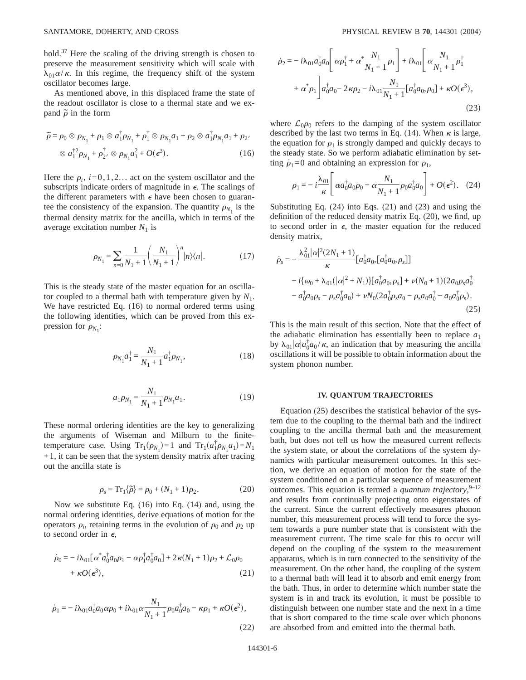hold.<sup>37</sup> Here the scaling of the driving strength is chosen to preserve the measurement sensitivity which will scale with  $\lambda_{01}\alpha/\kappa$ . In this regime, the frequency shift of the system oscillator becomes large.

As mentioned above, in this displaced frame the state of the readout oscillator is close to a thermal state and we expand  $\tilde{\rho}$  in the form

$$
\tilde{\rho} = \rho_0 \otimes \rho_{N_1} + \rho_1 \otimes a_1^{\dagger} \rho_{N_1} + \rho_1^{\dagger} \otimes \rho_{N_1} a_1 + \rho_2 \otimes a_1^{\dagger} \rho_{N_1} a_1 + \rho_2' \otimes a_1^{\dagger 2} \rho_{N_1} + \rho_2^{\dagger} \otimes \rho_{N_1} a_1^2 + O(\epsilon^3).
$$
\n(16)

Here the  $\rho_i$ ,  $i=0,1,2...$  act on the system oscillator and the subscripts indicate orders of magnitude in  $\epsilon$ . The scalings of the different parameters with  $\epsilon$  have been chosen to guarantee the consistency of the expansion. The quantity  $\rho_{N_1}$  is the thermal density matrix for the ancilla, which in terms of the average excitation number  $N_1$  is

$$
\rho_{N_1} = \sum_{n=0}^{\infty} \frac{1}{N_1 + 1} \left( \frac{N_1}{N_1 + 1} \right)^n |n\rangle\langle n|.
$$
 (17)

This is the steady state of the master equation for an oscillator coupled to a thermal bath with temperature given by  $N_1$ . We have restricted Eq. (16) to normal ordered terms using the following identities, which can be proved from this expression for  $\rho_{N_1}$ :

$$
\rho_{N_1} a_1^{\dagger} = \frac{N_1}{N_1 + 1} a_1^{\dagger} \rho_{N_1},\tag{18}
$$

$$
a_1 \rho_{N_1} = \frac{N_1}{N_1 + 1} \rho_{N_1} a_1.
$$
 (19)

These normal ordering identities are the key to generalizing the arguments of Wiseman and Milburn to the finitetemperature case. Using  $Tr_1(\rho_{N_1}) = 1$  and  $Tr_1(a_1^{\dagger} \rho_{N_1} a_1) = N_1$  $+1$ , it can be seen that the system density matrix after tracing out the ancilla state is

$$
\rho_{\rm s} = {\rm Tr}_1\{\tilde{\rho}\} = \rho_0 + (N_1 + 1)\rho_2. \tag{20}
$$

Now we substitute Eq. (16) into Eq. (14) and, using the normal ordering identities, derive equations of motion for the operators  $\rho_i$ , retaining terms in the evolution of  $\rho_0$  and  $\rho_2$  up to second order in  $\epsilon$ ,

$$
\dot{\rho}_0 = -i\lambda_{01} \left[ \alpha^* a_0^{\dagger} a_0 \rho_1 - \alpha \rho_1^{\dagger} a_0^{\dagger} a_0 \right] + 2\kappa (N_1 + 1)\rho_2 + \mathcal{L}_0 \rho_0
$$
  
+  $\kappa O(\epsilon^3)$ , (21)

$$
\dot{\rho}_1 = -i\lambda_{01}a_0^{\dagger}a_0\alpha\rho_0 + i\lambda_{01}\alpha \frac{N_1}{N_1+1}\rho_0 a_0^{\dagger}a_0 - \kappa\rho_1 + \kappa O(\epsilon^2),\tag{22}
$$

$$
\dot{\rho}_2 = -i\lambda_{01}a_0^{\dagger}a_0 \left[\alpha \rho_1^{\dagger} + \alpha^* \frac{N_1}{N_1 + 1} \rho_1\right] + i\lambda_{01} \left[\alpha \frac{N_1}{N_1 + 1} \rho_1^{\dagger} + \alpha^* \rho_1\right] d_0^{\dagger}a_0 - 2\kappa \rho_2 - i\lambda_{01} \frac{N_1}{N_1 + 1} \left[a_0^{\dagger}a_0, \rho_0\right] + \kappa O(\epsilon^3),
$$
\n(23)

where  $\mathcal{L}_0 \rho_0$  refers to the damping of the system oscillator described by the last two terms in Eq. (14). When  $\kappa$  is large, the equation for  $\rho_1$  is strongly damped and quickly decays to the steady state. So we perform adiabatic elimination by setting  $\dot{\rho}_1 = 0$  and obtaining an expression for  $\rho_1$ ,

$$
\rho_1 = -i\frac{\lambda_{01}}{\kappa} \left[ \alpha a_0^{\dagger} a_0 \rho_0 - \alpha \frac{N_1}{N_1 + 1} \rho_0 a_0^{\dagger} a_0 \right] + O(\epsilon^2). \quad (24)
$$

Substituting Eq. (24) into Eqs. (21) and (23) and using the definition of the reduced density matrix Eq. (20), we find, up to second order in  $\epsilon$ , the master equation for the reduced density matrix,

$$
\dot{\rho}_s = -\frac{\lambda_{01}^2 |\alpha|^2 (2N_1 + 1)}{\kappa} [a_0^{\dagger} a_0, [a_0^{\dagger} a_0, \rho_s]] \n- i{\omega_0 + \lambda_{01}} (|\alpha|^2 + N_1) [a_0^{\dagger} a_0, \rho_s] + \nu(N_0 + 1) (2a_0 \rho_s a_0^{\dagger} - a_0^{\dagger} a_0 \rho_s - \rho_s a_0^{\dagger} a_0) + \nu N_0 (2a_0^{\dagger} \rho_s a_0 - \rho_s a_0 a_0^{\dagger} - a_0 a_0^{\dagger} \rho_s).
$$
\n(25)

This is the main result of this section. Note that the effect of the adiabatic elimination has essentially been to replace  $a_1$ by  $\lambda_{01} |\alpha| \dot{a}_0^{\dagger} a_0 / \kappa$ , an indication that by measuring the ancilla oscillations it will be possible to obtain information about the system phonon number.

# **IV. QUANTUM TRAJECTORIES**

Equation (25) describes the statistical behavior of the system due to the coupling to the thermal bath and the indirect coupling to the ancilla thermal bath and the measurement bath, but does not tell us how the measured current reflects the system state, or about the correlations of the system dynamics with particular measurement outcomes. In this section, we derive an equation of motion for the state of the system conditioned on a particular sequence of measurement outcomes. This equation is termed a *quantum trajectory*,<sup>9-12</sup> and results from continually projecting onto eigenstates of the current. Since the current effectively measures phonon number, this measurement process will tend to force the system towards a pure number state that is consistent with the measurement current. The time scale for this to occur will depend on the coupling of the system to the measurement apparatus, which is in turn connected to the sensitivity of the measurement. On the other hand, the coupling of the system to a thermal bath will lead it to absorb and emit energy from the bath. Thus, in order to determine which number state the system is in and track its evolution, it must be possible to distinguish between one number state and the next in a time that is short compared to the time scale over which phonons are absorbed from and emitted into the thermal bath.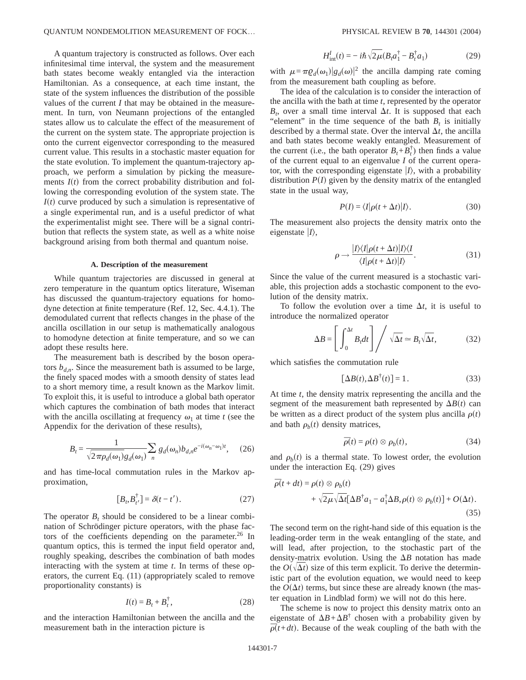A quantum trajectory is constructed as follows. Over each infinitesimal time interval, the system and the measurement bath states become weakly entangled via the interaction Hamiltonian. As a consequence, at each time instant, the state of the system influences the distribution of the possible values of the current *I* that may be obtained in the measurement. In turn, von Neumann projections of the entangled states allow us to calculate the effect of the measurement of the current on the system state. The appropriate projection is onto the current eigenvector corresponding to the measured current value. This results in a stochastic master equation for the state evolution. To implement the quantum-trajectory approach, we perform a simulation by picking the measurements  $I(t)$  from the correct probability distribution and following the corresponding evolution of the system state. The  $I(t)$  curve produced by such a simulation is representative of a single experimental run, and is a useful predictor of what the experimentalist might see. There will be a signal contribution that reflects the system state, as well as a white noise background arising from both thermal and quantum noise.

#### **A. Description of the measurement**

While quantum trajectories are discussed in general at zero temperature in the quantum optics literature, Wiseman has discussed the quantum-trajectory equations for homodyne detection at finite temperature (Ref. 12, Sec. 4.4.1). The demodulated current that reflects changes in the phase of the ancilla oscillation in our setup is mathematically analogous to homodyne detection at finite temperature, and so we can adopt these results here.

The measurement bath is described by the boson operators  $b_{d,n}$ . Since the measurement bath is assumed to be large, the finely spaced modes with a smooth density of states lead to a short memory time, a result known as the Markov limit. To exploit this, it is useful to introduce a global bath operator which captures the combination of bath modes that interact with the ancilla oscillating at frequency  $\omega_1$  at time *t* (see the Appendix for the derivation of these results),

$$
B_t = \frac{1}{\sqrt{2\pi \rho_d(\omega_1)} g_d(\omega_1)} \sum_n g_d(\omega_n) b_{d,n} e^{-i(\omega_n - \omega_1)t}, \quad (26)
$$

and has time-local commutation rules in the Markov approximation,

$$
[B_t, B_{t'}^\dagger] = \delta(t - t'). \tag{27}
$$

The operator  $B_t$ , should be considered to be a linear combination of Schrödinger picture operators, with the phase factors of the coefficients depending on the parameter.<sup>26</sup> In quantum optics, this is termed the input field operator and, roughly speaking, describes the combination of bath modes interacting with the system at time *t*. In terms of these operators, the current Eq. (11) (appropriately scaled to remove proportionality constants) is

$$
I(t) = B_t + B_t^{\dagger},\tag{28}
$$

and the interaction Hamiltonian between the ancilla and the measurement bath in the interaction picture is

$$
H_{\text{int}}^{I}(t) = -i\hbar \sqrt{2\mu} (B_{t} a_{1}^{\dagger} - B_{t}^{\dagger} a_{1})
$$
 (29)

with  $\mu = \pi \varrho_d(\omega_1) |g_d(\omega)|^2$  the ancilla damping rate coming from the measurement bath coupling as before.

The idea of the calculation is to consider the interaction of the ancilla with the bath at time *t*, represented by the operator  $B_t$ , over a small time interval  $\Delta t$ . It is supposed that each "element" in the time sequence of the bath  $B_t$  is initially described by a thermal state. Over the interval  $\Delta t$ , the ancilla and bath states become weakly entangled. Measurement of the current (i.e., the bath operator  $B_t + B_t^{\dagger}$ ) then finds a value of the current equal to an eigenvalue *I* of the current operator, with the corresponding eigenstate  $|I\rangle$ , with a probability distribution  $P(I)$  given by the density matrix of the entangled state in the usual way,

$$
P(I) = \langle I | \rho(t + \Delta t) | I \rangle.
$$
 (30)

The measurement also projects the density matrix onto the eigenstate  $|I\rangle$ ,

$$
\rho \to \frac{|I\rangle\langle I|\rho(t+\Delta t)|I\rangle\langle I}{\langle I|\rho(t+\Delta t)|I\rangle}.\tag{31}
$$

Since the value of the current measured is a stochastic variable, this projection adds a stochastic component to the evolution of the density matrix.

To follow the evolution over a time  $\Delta t$ , it is useful to introduce the normalized operator

$$
\Delta B = \left[ \int_0^{\Delta t} B_t dt \right] / \sqrt{\Delta t} \approx B_t \sqrt{\Delta t}, \quad (32)
$$

which satisfies the commutation rule

$$
[\Delta B(t), \Delta B^{\dagger}(t)] = 1. \tag{33}
$$

At time *t*, the density matrix representing the ancilla and the segment of the measurement bath represented by  $\Delta B(t)$  can be written as a direct product of the system plus ancilla  $\rho(t)$ and bath  $\rho_b(t)$  density matrices,

$$
\overline{\rho}(t) = \rho(t) \otimes \rho_b(t), \qquad (34)
$$

and  $\rho_b(t)$  is a thermal state. To lowest order, the evolution under the interaction Eq. (29) gives

$$
\overline{\rho}(t+dt) = \rho(t) \otimes \rho_b(t)
$$
  
+  $\sqrt{2\mu} \sqrt{\Delta t} [\Delta B^{\dagger} a_1 - a_1^{\dagger} \Delta B, \rho(t) \otimes \rho_b(t)] + O(\Delta t).$  (35)

The second term on the right-hand side of this equation is the leading-order term in the weak entangling of the state, and will lead, after projection, to the stochastic part of the density-matrix evolution. Using the  $\Delta B$  notation has made the  $O(\sqrt{\Delta t})$  size of this term explicit. To derive the deterministic part of the evolution equation, we would need to keep the  $O(\Delta t)$  terms, but since these are already known (the master equation in Lindblad form) we will not do this here.

The scheme is now to project this density matrix onto an eigenstate of  $\Delta B + \Delta B^{\dagger}$  chosen with a probability given by  $\frac{1}{\rho}(t+dt)$ . Because of the weak coupling of the bath with the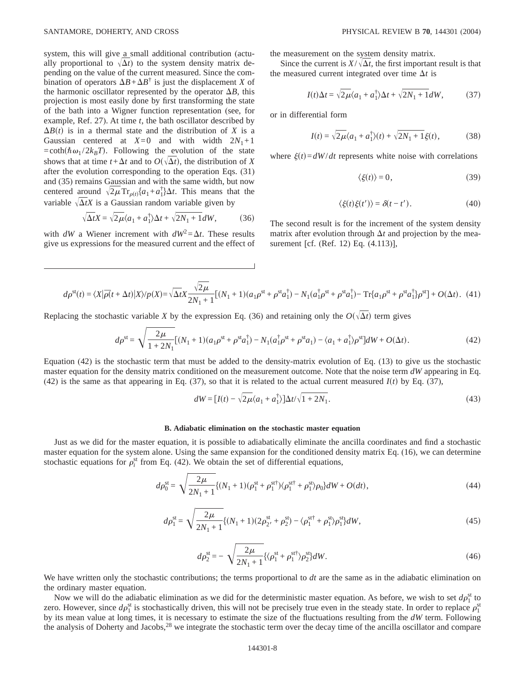system, this will give a small additional contribution (actually proportional to  $\sqrt{\Delta t}$  to the system density matrix depending on the value of the current measured. Since the combination of operators  $\Delta B + \Delta B^{\dagger}$  is just the displacement *X* of the harmonic oscillator represented by the operator  $\Delta B$ , this projection is most easily done by first transforming the state of the bath into a Wigner function representation (see, for example, Ref. 27). At time *t*, the bath oscillator described by  $\Delta B(t)$  is in a thermal state and the distribution of *X* is a Gaussian centered at  $X=0$  and with width  $2N_1+1$  $= \coth(\hbar \omega_1 / 2k_B T)$ . Following the evolution of the state shows that at time  $t + \Delta t$  and to  $O(\sqrt{\Delta t})$ , the distribution of *X* after the evolution corresponding to the operation Eqs. (31) and (35) remains Gaussian and with the same width, but now centered around  $\sqrt{2\mu} \text{Tr}_{\rho(t)}[a_1 + a_1^{\dagger}]\Delta t$ . This means that the variable  $\sqrt{\Delta t}X$  is a Gaussian random variable given by

$$
\sqrt{\Delta t}X = \sqrt{2\mu}\langle a_1 + a_1^{\dagger}\rangle\Delta t + \sqrt{2N_1 + 1}dW,\tag{36}
$$

with *dW* a Wiener increment with  $dW^2 = \Delta t$ . These results give us expressions for the measured current and the effect of the measurement on the system density matrix.

Since the current is  $X/\sqrt{\Delta t}$ , the first important result is that the measured current integrated over time  $\Delta t$  is

$$
I(t)\Delta t = \sqrt{2\mu}\langle a_1 + a_1^{\dagger}\rangle\Delta t + \sqrt{2N_1 + 1}dW,\tag{37}
$$

or in differential form

$$
I(t) = \sqrt{2\mu} \langle a_1 + a_1^{\dagger} \rangle(t) + \sqrt{2N_1 + 1} \xi(t), \qquad (38)
$$

where  $\xi(t) = dW/dt$  represents white noise with correlations

$$
\langle \xi(t) \rangle = 0, \tag{39}
$$

$$
\langle \xi(t)\xi(t')\rangle = \delta(t-t'). \tag{40}
$$

The second result is for the increment of the system density matrix after evolution through  $\Delta t$  and projection by the measurement [cf. (Ref. 12) Eq. (4.113)],

$$
d\rho^{\rm st}(t) = \langle X|\bar{\rho}(t+\Delta t)|X\rangle/p(X) = \sqrt{\Delta t}X \frac{\sqrt{2\mu}}{2N_1+1}[(N_1+1)(a_1\rho^{\rm st}+\rho^{\rm st}a_1^{\dagger})-N_1(a_1^{\dagger}\rho^{\rm st}+\rho^{\rm st}a_1^{\dagger})-Tr\{a_1\rho^{\rm st}+\rho^{\rm st}a_1^{\dagger}\}\rho^{\rm st}] + O(\Delta t). \tag{41}
$$

Replacing the stochastic variable *X* by the expression Eq. (36) and retaining only the  $O(\sqrt{\Delta t})$  term gives

$$
d\rho^{\text{st}} = \sqrt{\frac{2\mu}{1+2N_1}} [(N_1+1)(a_1\rho^{\text{st}} + \rho^{\text{st}}a_1^{\dagger}) - N_1(a_1^{\dagger}\rho^{\text{st}} + \rho^{\text{st}}a_1) - \langle a_1 + a_1^{\dagger}\rangle \rho^{\text{st}}]dW + O(\Delta t). \tag{42}
$$

Equation (42) is the stochastic term that must be added to the density-matrix evolution of Eq. (13) to give us the stochastic master equation for the density matrix conditioned on the measurement outcome. Note that the noise term *dW* appearing in Eq. (42) is the same as that appearing in Eq. (37), so that it is related to the actual current measured  $I(t)$  by Eq. (37),

$$
dW = [I(t) - \sqrt{2\mu} \langle a_1 + a_1^{\dagger} \rangle] \Delta t / \sqrt{1 + 2N_1}.
$$
\n(43)

# **B. Adiabatic elimination on the stochastic master equation**

Just as we did for the master equation, it is possible to adiabatically eliminate the ancilla coordinates and find a stochastic master equation for the system alone. Using the same expansion for the conditioned density matrix Eq. (16), we can determine stochastic equations for  $\rho_i^{\text{st}}$  from Eq. (42). We obtain the set of differential equations,

$$
d\rho_0^{\text{st}} = \sqrt{\frac{2\mu}{2N_1 + 1}} \{ (N_1 + 1)(\rho_1^{\text{st}} + \rho_1^{\text{st}\dagger})(\rho_1^{\text{st}\dagger} + \rho_1^{\text{st}})\rho_0 \} dW + O(dt), \tag{44}
$$

$$
d\rho_1^{\text{st}} = \sqrt{\frac{2\mu}{2N_1 + 1}} \{ (N_1 + 1)(2\rho_{2'}^{\text{st}} + \rho_2^{\text{st}}) - \langle \rho_1^{\text{st}\dagger} + \rho_1^{\text{st}} \rangle \rho_1^{\text{st}} \} dW, \tag{45}
$$

$$
d\rho_2^{\text{st}} = -\sqrt{\frac{2\mu}{2N_1 + 1}} \{ \langle \rho_1^{\text{st}} + \rho_1^{\text{st}\dagger} \rangle \rho_2^{\text{st}} \} dW. \tag{46}
$$

We have written only the stochastic contributions; the terms proportional to *dt* are the same as in the adiabatic elimination on the ordinary master equation.

Now we will do the adiabatic elimination as we did for the deterministic master equation. As before, we wish to set  $d\rho_1^{\rm st}$  to zero. However, since  $d\rho_1^{\text{st}}$  is stochastically driven, this will not be precisely true even in the steady state. In order to replace  $\rho_1^{\text{st}}$ by its mean value at long times, it is necessary to estimate the size of the fluctuations resulting from the *dW* term. Following the analysis of Doherty and Jacobs,<sup>28</sup> we integrate the stochastic term over the decay time of the ancilla oscillator and compare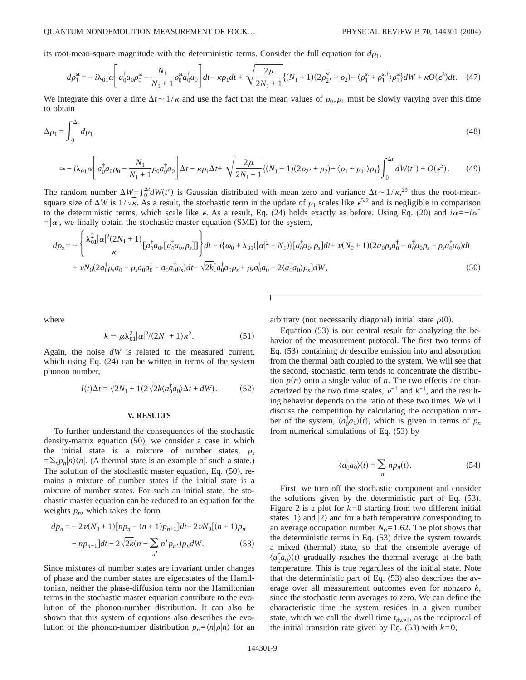its root-mean-square magnitude with the deterministic terms. Consider the full equation for  $d\rho_1$ ,

$$
d\rho_1^{\text{st}} = -i\lambda_{01}\alpha \left[ a_0^{\dagger}a_0\rho_0^{\text{st}} - \frac{N_1}{N_1+1}\rho_0^{\text{st}}a_0^{\dagger}a_0 \right]dt - \kappa\rho_1 dt + \sqrt{\frac{2\mu}{2N_1+1}} \{ (N_1+1)(2\rho_{2'}^{\text{st}} + \rho_{2}) - \langle \rho_1^{\text{st}} + \rho_1^{\text{st}} \rangle \rho_1^{\text{st}} \}dW + \kappa O(\epsilon^3)dt. \tag{47}
$$

We integrate this over a time  $\Delta t \sim 1/\kappa$  and use the fact that the mean values of  $\rho_0, \rho_1$  must be slowly varying over this time to obtain

$$
\Delta \rho_1 = \int_0^{\Delta t} d\rho_1 \tag{48}
$$

$$
\approx -i\lambda_{01}\alpha \left[a_0^{\dagger}a_0\rho_0 - \frac{N_1}{N_1+1}\rho_0a_0^{\dagger}a_0\right]\Delta t - \kappa\rho_1\Delta t + \sqrt{\frac{2\mu}{2N_1+1}}\{(N_1+1)(2\rho_2 + \rho_2) - \langle \rho_1 + \rho_1 + \rangle\rho_1\}\int_0^{\Delta t}dW(t') + O(\epsilon^3). \tag{49}
$$

The random number  $\Delta W = \int_0^{\Delta t} dW(t')$  is Gaussian distributed with mean zero and variance  $\Delta t \sim 1/\kappa$ , <sup>29</sup> thus the root-meansquare size of  $\Delta W$  is  $1/\sqrt{\kappa}$ . As a result, the stochastic term in the update of  $\rho_1$  scales like  $\epsilon^{5/2}$  and is negligible in comparison to the deterministic terms, which scale like  $\epsilon$ . As a result, Eq. (24) holds exactly as before. Using Eq. (20) and  $i\alpha = -i\alpha^*$  $=|\alpha|$ , we finally obtain the stochastic master equation (SME) for the system,

$$
d\rho_s = -\left\{\frac{\lambda_{01}^2|\alpha|^2(2N_1+1)}{\kappa}\left[a_0^{\dagger}a_0, \left[a_0^{\dagger}a_0, \rho_s\right]\right]\right\}dt - i\{\omega_0 + \lambda_{01}(|\alpha|^2 + N_1)\}\left[a_0^{\dagger}a_0, \rho_s\right]dt + \nu(N_0 + 1)(2a_0\rho_s a_0^{\dagger} - a_0^{\dagger}a_0\rho_s - \rho_s a_0^{\dagger}a_0)dt
$$
  
+  $\nu N_0(2a_0^{\dagger}\rho_s a_0 - \rho_s a_0 a_0^{\dagger} - a_0 a_0^{\dagger}\rho_s)dt - \sqrt{2k}\left[a_0^{\dagger}a_0\rho_s + \rho_s a_0^{\dagger}a_0 - 2\langle a_0^{\dagger}a_0\rangle\rho_s\right]dW,$  (50)

where

$$
k = \mu \lambda_{01}^2 |\alpha|^2 / (2N_1 + 1)\kappa^2.
$$
 (51)

Again, the noise *dW* is related to the measured current, which using Eq. (24) can be written in terms of the system phonon number,

$$
I(t)\Delta t = \sqrt{2N_1 + 1} \left(2\sqrt{2k} \langle a_0^{\dagger} a_0 \rangle \Delta t + dW\right). \tag{52}
$$

### **V. RESULTS**

To further understand the consequences of the stochastic density-matrix equation (50), we consider a case in which the initial state is a mixture of number states,  $\rho_s$  $=\sum_{n}p_{n}|n\rangle\langle n|$ . (A thermal state is an example of such a state.) The solution of the stochastic master equation, Eq. (50), remains a mixture of number states if the initial state is a mixture of number states. For such an initial state, the stochastic master equation can be reduced to an equation for the weights  $p_n$ , which takes the form

$$
dp_n = -2\nu(N_0 + 1)[np_n - (n + 1)p_{n+1}]dt - 2\nu N_0[(n + 1)p_n - np_{n-1}]dt - 2\sqrt{2k}(n - \sum_{n'} n'p_{n'})p_n dW.
$$
 (53)

Since mixtures of number states are invariant under changes of phase and the number states are eigenstates of the Hamiltonian, neither the phase-diffusion term nor the Hamiltonian terms in the stochastic master equation contribute to the evolution of the phonon-number distribution. It can also be shown that this system of equations also describes the evolution of the phonon-number distribution  $p_n = \langle n | \rho | n \rangle$  for an arbitrary (not necessarily diagonal) initial state  $\rho(0)$ .

Equation (53) is our central result for analyzing the behavior of the measurement protocol. The first two terms of Eq. (53) containing *dt* describe emission into and absorption from the thermal bath coupled to the system. We will see that the second, stochastic, term tends to concentrate the distribution  $p(n)$  onto a single value of *n*. The two effects are characterized by the two time scales,  $\nu^{-1}$  and  $k^{-1}$ , and the resulting behavior depends on the ratio of these two times. We will discuss the competition by calculating the occupation number of the system,  $\langle a_0^{\dagger} a_0 \rangle(t)$ , which is given in terms of  $p_n$ from numerical simulations of Eq. (53) by

$$
\langle a_0^{\dagger} a_0 \rangle(t) = \sum_n n p_n(t). \tag{54}
$$

First, we turn off the stochastic component and consider the solutions given by the deterministic part of Eq. (53). Figure 2 is a plot for  $k=0$  starting from two different initial states  $|1\rangle$  and  $|2\rangle$  and for a bath temperature corresponding to an average occupation number  $N_0 = 1.62$ . The plot shows that the deterministic terms in Eq. (53) drive the system towards a mixed (thermal) state, so that the ensemble average of  $\langle a_0^{\dagger} a_0 \rangle(t)$  gradually reaches the thermal average at the bath temperature. This is true regardless of the initial state. Note that the deterministic part of Eq. (53) also describes the average over all measurement outcomes even for nonzero *k*, since the stochastic term averages to zero. We can define the characteristic time the system resides in a given number state, which we call the dwell time  $t_{dwell}$ , as the reciprocal of the initial transition rate given by Eq.  $(53)$  with  $k=0$ ,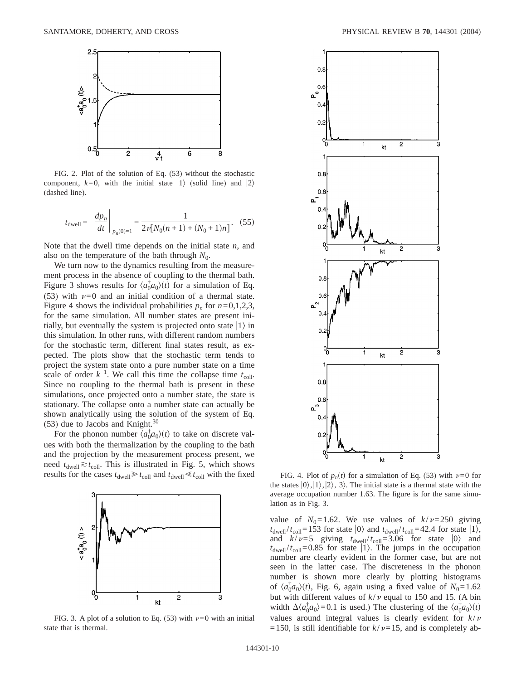

FIG. 2. Plot of the solution of Eq. (53) without the stochastic component,  $k=0$ , with the initial state  $|1\rangle$  (solid line) and  $|2\rangle$ (dashed line).

$$
t_{\text{dwell}} = \frac{dp_n}{dt} \bigg|_{p_n(0)=1} = \frac{1}{2\nu[N_0(n+1) + (N_0+1)n]}.
$$
 (55)

Note that the dwell time depends on the initial state *n*, and also on the temperature of the bath through  $N_0$ .

We turn now to the dynamics resulting from the measurement process in the absence of coupling to the thermal bath. Figure 3 shows results for  $\langle a_0^{\dagger} a_0 \rangle (t)$  for a simulation of Eq. (53) with  $\nu=0$  and an initial condition of a thermal state. Figure 4 shows the individual probabilities  $p_n$  for  $n=0,1,2,3$ , for the same simulation. All number states are present initially, but eventually the system is projected onto state  $|1\rangle$  in this simulation. In other runs, with different random numbers for the stochastic term, different final states result, as expected. The plots show that the stochastic term tends to project the system state onto a pure number state on a time scale of order  $k^{-1}$ . We call this time the collapse time  $t_{\text{coll}}$ . Since no coupling to the thermal bath is present in these simulations, once projected onto a number state, the state is stationary. The collapse onto a number state can actually be shown analytically using the solution of the system of Eq.  $(53)$  due to Jacobs and Knight.<sup>30</sup>

For the phonon number  $\langle a_0^{\dagger} a_0 \rangle(t)$  to take on discrete values with both the thermalization by the coupling to the bath and the projection by the measurement process present, we need  $t_{dwell} \gtrsim t_{coll}$ . This is illustrated in Fig. 5, which shows results for the cases  $t_{dwell} \ge t_{coll}$  and  $t_{dwell} \le t_{coll}$  with the fixed



FIG. 3. A plot of a solution to Eq. (53) with  $\nu=0$  with an initial state that is thermal.



FIG. 4. Plot of  $p_n(t)$  for a simulation of Eq. (53) with  $\nu=0$  for the states  $|0\rangle, |1\rangle, |2\rangle, |3\rangle$ . The initial state is a thermal state with the average occupation number 1.63. The figure is for the same simulation as in Fig. 3.

value of  $N_0=1.62$ . We use values of  $k/\nu=250$  giving  $t_{\text{dwell}}/t_{\text{coll}}$ =153 for state  $|0\rangle$  and  $t_{\text{dwell}}/t_{\text{coll}}$ =42.4 for state  $|1\rangle$ , and  $k/v=5$  giving  $t_{dwell}/t_{coll}=3.06$  for state  $|0\rangle$  and  $t_{\text{dwell}}/t_{\text{coll}}$ =0.85 for state  $|1\rangle$ . The jumps in the occupation number are clearly evident in the former case, but are not seen in the latter case. The discreteness in the phonon number is shown more clearly by plotting histograms of  $\langle a_0^{\dagger} a_0 \rangle(t)$ , Fig. 6, again using a fixed value of  $N_0 = 1.62$ but with different values of  $k/\nu$  equal to 150 and 15. (A bin width  $\Delta \langle a_0^{\dagger} a_0 \rangle = 0.1$  is used.) The clustering of the  $\langle a_0^{\dagger} a_0 \rangle(t)$ values around integral values is clearly evident for  $k/\nu$ =150, is still identifiable for  $k/v=15$ , and is completely ab-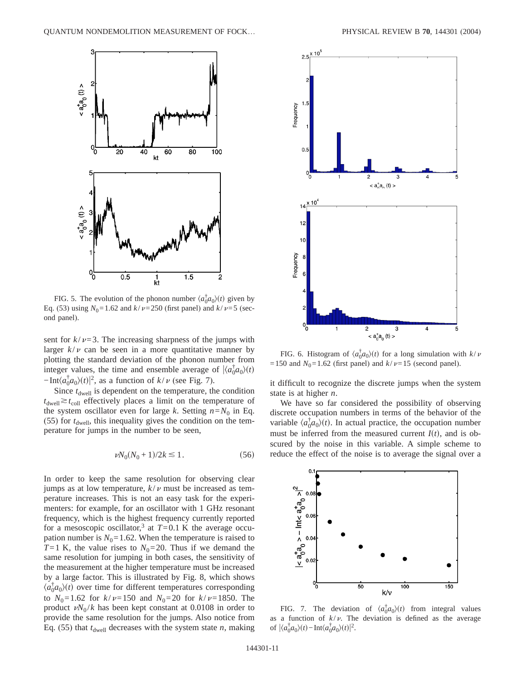

FIG. 5. The evolution of the phonon number  $\langle a_0^{\dagger} a_0 \rangle(t)$  given by Eq. (53) using  $N_0 = 1.62$  and  $k/v = 250$  (first panel) and  $k/v = 5$  (second panel).

sent for  $k/v=3$ . The increasing sharpness of the jumps with larger  $k/v$  can be seen in a more quantitative manner by plotting the standard deviation of the phonon number from integer values, the time and ensemble average of  $\left| \langle a_0^{\dagger} a_0 \rangle (t) \right|$  $-\text{Int}\langle a_0^{\dagger}a_0\rangle(t)|^2$ , as a function of  $k/\nu$  (see Fig. 7).

Since  $t_{\text{dwell}}$  is dependent on the temperature, the condition  $t_{dwell} \gtrsim t_{coll}$  effectively places a limit on the temperature of the system oscillator even for large *k*. Setting  $n=N_0$  in Eq.  $(55)$  for  $t_{dwell}$ , this inequality gives the condition on the temperature for jumps in the number to be seen,

$$
\nu N_0 (N_0 + 1)/2k \lesssim 1. \tag{56}
$$

In order to keep the same resolution for observing clear jumps as at low temperature,  $k/\nu$  must be increased as temperature increases. This is not an easy task for the experimenters: for example, for an oscillator with 1 GHz resonant frequency, which is the highest frequency currently reported for a mesoscopic oscillator,<sup>3</sup> at  $T=0.1$  K the average occupation number is  $N_0$ =1.62. When the temperature is raised to *T*=1 K, the value rises to  $N_0$ =20. Thus if we demand the same resolution for jumping in both cases, the sensitivity of the measurement at the higher temperature must be increased by a large factor. This is illustrated by Fig. 8, which shows  $\langle a_0^{\dagger} a_0 \rangle(t)$  over time for different temperatures corresponding to  $N_0=1.62$  for  $k/v=150$  and  $N_0=20$  for  $k/v=1850$ . The product  $\nu N_0 / k$  has been kept constant at 0.0108 in order to provide the same resolution for the jumps. Also notice from Eq. (55) that  $t_{dwell}$  decreases with the system state  $n$ , making



FIG. 6. Histogram of  $\langle a_0^{\dagger} a_0 \rangle(t)$  for a long simulation with  $k/\nu$ =150 and  $N_0$ =1.62 (first panel) and  $k/v=15$  (second panel).

it difficult to recognize the discrete jumps when the system state is at higher *n*.

We have so far considered the possibility of observing discrete occupation numbers in terms of the behavior of the variable  $\langle a_0^{\dagger} a_0 \rangle(t)$ . In actual practice, the occupation number must be inferred from the measured current  $I(t)$ , and is obscured by the noise in this variable. A simple scheme to reduce the effect of the noise is to average the signal over a



FIG. 7. The deviation of  $\langle a_0^{\dagger} a_0 \rangle(t)$  from integral values as a function of  $k/v$ . The deviation is defined as the average of  $|\langle a_0^{\dagger} a_0 \rangle(t) - \text{Int}\langle a_0^{\dagger} a_0 \rangle(t)|^2$ .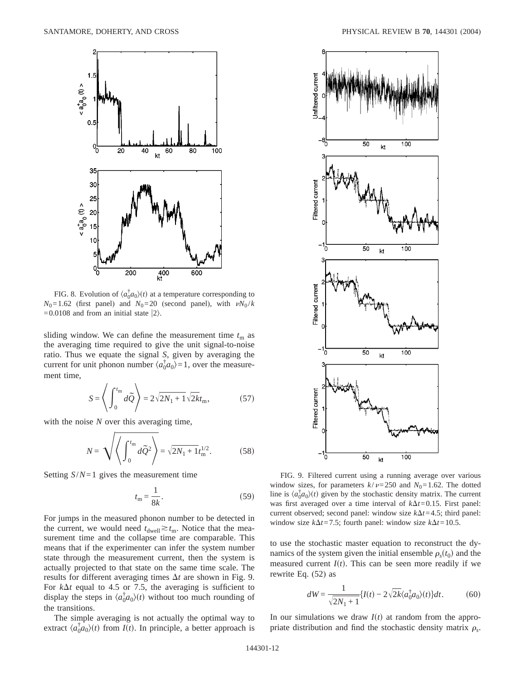

FIG. 8. Evolution of  $\langle a_0^{\dagger} a_0 \rangle(t)$  at a temperature corresponding to  $N_0 = 1.62$  (first panel) and  $N_0 = 20$  (second panel), with  $\nu N_0 / k$ =0.0108 and from an initial state  $|2\rangle$ .

sliding window. We can define the measurement time  $t<sub>m</sub>$  as the averaging time required to give the unit signal-to-noise ratio. Thus we equate the signal *S*, given by averaging the current for unit phonon number  $\langle a_0^{\dagger} a_0 \rangle = 1$ , over the measurement time,

$$
S = \left\langle \int_0^{t_{\rm m}} d\tilde{Q} \right\rangle = 2\sqrt{2N_1 + 1}\sqrt{2k}t_{\rm m},\tag{57}
$$

with the noise *N* over this averaging time,

$$
N = \sqrt{\left\langle \int_0^{t_{\rm m}} d\tilde{Q}^2 \right\rangle} = \sqrt{2N_1 + 1} t_{\rm m}^{1/2}.
$$
 (58)

Setting *S*/*N*=1 gives the measurement time

$$
t_{\rm m} = \frac{1}{8k}.\tag{59}
$$

For jumps in the measured phonon number to be detected in the current, we would need  $t_{dwell} \gtrsim t_m$ . Notice that the measurement time and the collapse time are comparable. This means that if the experimenter can infer the system number state through the measurement current, then the system is actually projected to that state on the same time scale. The results for different averaging times  $\Delta t$  are shown in Fig. 9. For  $k\Delta t$  equal to 4.5 or 7.5, the averaging is sufficient to display the steps in  $\langle a_0^{\dagger} a_0 \rangle(t)$  without too much rounding of the transitions.

The simple averaging is not actually the optimal way to extract  $\langle a_0^{\dagger} a_0 \rangle(t)$  from *I*(*t*). In principle, a better approach is



FIG. 9. Filtered current using a running average over various window sizes, for parameters  $k/v=250$  and  $N_0=1.62$ . The dotted line is  $\langle a_0^{\dagger} a_0 \rangle(t)$  given by the stochastic density matrix. The current was first averaged over a time interval of  $k\Delta t = 0.15$ . First panel: current observed; second panel: window size  $k\Delta t = 4.5$ ; third panel: window size  $k\Delta t = 7.5$ ; fourth panel: window size  $k\Delta t = 10.5$ .

to use the stochastic master equation to reconstruct the dynamics of the system given the initial ensemble  $\rho_s(t_0)$  and the measured current  $I(t)$ . This can be seen more readily if we rewrite Eq. (52) as

$$
dW = \frac{1}{\sqrt{2N_1 + 1}} \{ I(t) - 2\sqrt{2k} \langle a_0^{\dagger} a_0 \rangle(t) \} dt. \tag{60}
$$

In our simulations we draw  $I(t)$  at random from the appropriate distribution and find the stochastic density matrix  $\rho_s$ .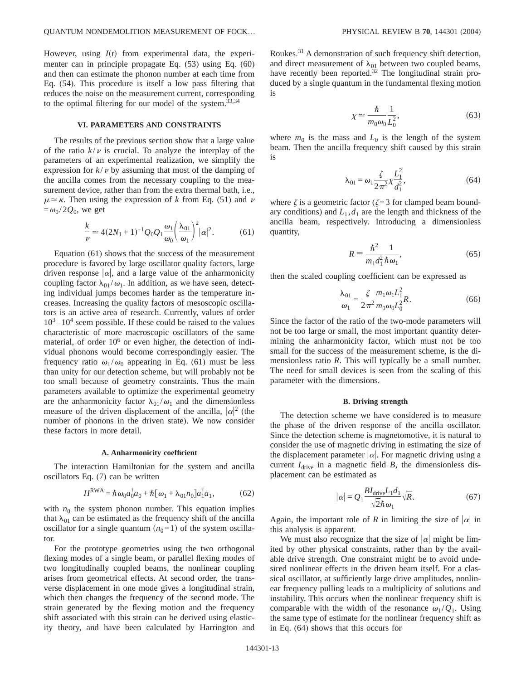However, using  $I(t)$  from experimental data, the experimenter can in principle propagate Eq. (53) using Eq. (60) and then can estimate the phonon number at each time from Eq. (54). This procedure is itself a low pass filtering that reduces the noise on the measurement current, corresponding to the optimal filtering for our model of the system.<sup>33,34</sup>

### **VI. PARAMETERS AND CONSTRAINTS**

The results of the previous section show that a large value of the ratio  $k/v$  is crucial. To analyze the interplay of the parameters of an experimental realization, we simplify the expression for  $k/\nu$  by assuming that most of the damping of the ancilla comes from the necessary coupling to the measurement device, rather than from the extra thermal bath, i.e.,  $\mu \approx \kappa$ . Then using the expression of *k* from Eq. (51) and v  $=\omega_0 / 2Q_0$ , we get

$$
\frac{k}{\nu} \simeq 4(2N_1 + 1)^{-1} Q_0 Q_1 \frac{\omega_1}{\omega_0} \left(\frac{\lambda_{01}}{\omega_1}\right)^2 |\alpha|^2.
$$
 (61)

Equation (61) shows that the success of the measurement procedure is favored by large oscillator quality factors, large driven response  $|\alpha|$ , and a large value of the anharmonicity coupling factor  $\lambda_{01} / \omega_1$ . In addition, as we have seen, detecting individual jumps becomes harder as the temperature increases. Increasing the quality factors of mesoscopic oscillators is an active area of research. Currently, values of order  $10^3 - 10^4$  seem possible. If these could be raised to the values characteristic of more macroscopic oscillators of the same material, of order  $10<sup>6</sup>$  or even higher, the detection of individual phonons would become correspondingly easier. The frequency ratio  $\omega_1 / \omega_0$  appearing in Eq. (61) must be less than unity for our detection scheme, but will probably not be too small because of geometry constraints. Thus the main parameters available to optimize the experimental geometry are the anharmonicity factor  $\lambda_{01} / \omega_1$  and the dimensionless measure of the driven displacement of the ancilla,  $|\alpha|^2$  (the number of phonons in the driven state). We now consider these factors in more detail.

#### **A. Anharmonicity coefficient**

The interaction Hamiltonian for the system and ancilla oscillators Eq. (7) can be written

$$
H^{\text{RWA}} = \hbar \omega_0 a_0^{\dagger} a_0 + \hbar [\omega_1 + \lambda_{01} n_0] a_1^{\dagger} a_1, \tag{62}
$$

with  $n_0$  the system phonon number. This equation implies that  $\lambda_{01}$  can be estimated as the frequency shift of the ancilla oscillator for a single quantum  $(n_0=1)$  of the system oscillator.

For the prototype geometries using the two orthogonal flexing modes of a single beam, or parallel flexing modes of two longitudinally coupled beams, the nonlinear coupling arises from geometrical effects. At second order, the transverse displacement in one mode gives a longitudinal strain, which then changes the frequency of the second mode. The strain generated by the flexing motion and the frequency shift associated with this strain can be derived using elasticity theory, and have been calculated by Harrington and Roukes.<sup>31</sup> A demonstration of such frequency shift detection, and direct measurement of  $\lambda_{01}$  between two coupled beams, have recently been reported.<sup>32</sup> The longitudinal strain produced by a single quantum in the fundamental flexing motion is

$$
\chi \simeq \frac{\hbar}{m_0 \omega_0} \frac{1}{L_0^2},\tag{63}
$$

where  $m_0$  is the mass and  $L_0$  is the length of the system beam. Then the ancilla frequency shift caused by this strain is

$$
\lambda_{01} = \omega_1 \frac{\zeta}{2\pi^2} \chi \frac{L_1^2}{d_1^2},\tag{64}
$$

where  $\zeta$  is a geometric factor ( $\zeta = 3$  for clamped beam boundary conditions) and  $L_1$ ,  $d_1$  are the length and thickness of the ancilla beam, respectively. Introducing a dimensionless quantity,

$$
R = \frac{\hbar^2}{m_1 d_1^2} \frac{1}{\hbar \omega_1},
$$
\n(65)

then the scaled coupling coefficient can be expressed as

$$
\frac{\lambda_{01}}{\omega_1} = \frac{\zeta}{2\pi^2} \frac{m_1 \omega_1 L_1^2}{m_0 \omega_0 L_0^2} R.
$$
\n(66)

Since the factor of the ratio of the two-mode parameters will not be too large or small, the most important quantity determining the anharmonicity factor, which must not be too small for the success of the measurement scheme, is the dimensionless ratio *R*. This will typically be a small number. The need for small devices is seen from the scaling of this parameter with the dimensions.

### **B. Driving strength**

The detection scheme we have considered is to measure the phase of the driven response of the ancilla oscillator. Since the detection scheme is magnetomotive, it is natural to consider the use of magnetic driving in estimating the size of the displacement parameter  $|\alpha|$ . For magnetic driving using a current  $I_{\text{drive}}$  in a magnetic field *B*, the dimensionless displacement can be estimated as

$$
|\alpha| = Q_1 \frac{B I_{\text{drive}} L_1 d_1}{\sqrt{2} \hbar \omega_1} \sqrt{R}.
$$
 (67)

Again, the important role of *R* in limiting the size of  $|\alpha|$  in this analysis is apparent.

We must also recognize that the size of  $|\alpha|$  might be limited by other physical constraints, rather than by the available drive strength. One constraint might be to avoid undesired nonlinear effects in the driven beam itself. For a classical oscillator, at sufficiently large drive amplitudes, nonlinear frequency pulling leads to a multiplicity of solutions and instability. This occurs when the nonlinear frequency shift is comparable with the width of the resonance  $\omega_1 / Q_1$ . Using the same type of estimate for the nonlinear frequency shift as in Eq. (64) shows that this occurs for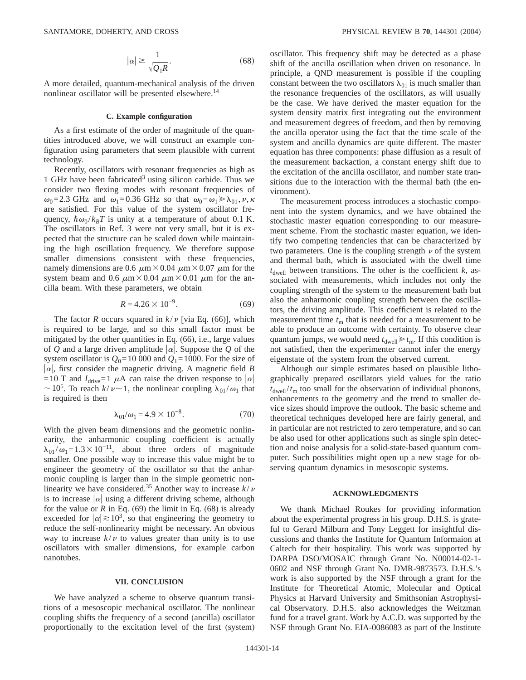$$
|\alpha| \gtrsim \frac{1}{\sqrt{Q_1 R}}.\tag{68}
$$

A more detailed, quantum-mechanical analysis of the driven nonlinear oscillator will be presented elsewhere.<sup>14</sup>

#### **C. Example configuration**

As a first estimate of the order of magnitude of the quantities introduced above, we will construct an example configuration using parameters that seem plausible with current technology.

Recently, oscillators with resonant frequencies as high as 1 GHz have been fabricated<sup>3</sup> using silicon carbide. Thus we consider two flexing modes with resonant frequencies of  $\omega_0$ =2.3 GHz and  $\omega_1$ =0.36 GHz so that  $\omega_0-\omega_1\geq \lambda_{01}$ ,  $\nu,\kappa$ are satisfied. For this value of the system oscillator frequency,  $\hbar \omega_0 / k_B T$  is unity at a temperature of about 0.1 K. The oscillators in Ref. 3 were not very small, but it is expected that the structure can be scaled down while maintaining the high oscillation frequency. We therefore suppose smaller dimensions consistent with these frequencies, namely dimensions are 0.6  $\mu$ m  $\times$  0.04  $\mu$ m  $\times$  0.07  $\mu$ m for the system beam and 0.6  $\mu$ m × 0.04  $\mu$ m × 0.01  $\mu$ m for the ancilla beam. With these parameters, we obtain

$$
R = 4.26 \times 10^{-9}.
$$
 (69)

The factor *R* occurs squared in  $k/v$  [via Eq. (66)], which is required to be large, and so this small factor must be mitigated by the other quantities in Eq. (66), i.e., large values of Q and a large driven amplitude  $|\alpha|$ . Suppose the Q of the system oscillator is  $Q_0$ =10 000 and  $Q_1$ =1000. For the size of  $|\alpha|$ , first consider the magnetic driving. A magnetic field *B* =10 T and  $I_{\text{drive}}=1$   $\mu$ A can raise the driven response to  $|\alpha|$  $\sim$  10<sup>5</sup>. To reach  $k/\nu$   $\sim$  1, the nonlinear coupling  $\lambda_{01}/\omega_1$  that is required is then

$$
\lambda_{01}/\omega_1 = 4.9 \times 10^{-8}.
$$
 (70)

With the given beam dimensions and the geometric nonlinearity, the anharmonic coupling coefficient is actually  $\lambda_{01}/\omega_1=1.3\times10^{-11}$ , about three orders of magnitude smaller. One possible way to increase this value might be to engineer the geometry of the oscillator so that the anharmonic coupling is larger than in the simple geometric nonlinearity we have considered.<sup>35</sup> Another way to increase  $k/\nu$ is to increase  $|\alpha|$  using a different driving scheme, although for the value or  $R$  in Eq. (69) the limit in Eq. (68) is already exceeded for  $|\alpha| \ge 10^3$ , so that engineering the geometry to reduce the self-nonlinearity might be necessary. An obvious way to increase  $k/\nu$  to values greater than unity is to use oscillators with smaller dimensions, for example carbon nanotubes.

#### **VII. CONCLUSION**

We have analyzed a scheme to observe quantum transitions of a mesoscopic mechanical oscillator. The nonlinear coupling shifts the frequency of a second (ancilla) oscillator proportionally to the excitation level of the first (system) oscillator. This frequency shift may be detected as a phase shift of the ancilla oscillation when driven on resonance. In principle, a QND measurement is possible if the coupling constant between the two oscillators  $\lambda_{01}$  is much smaller than the resonance frequencies of the oscillators, as will usually be the case. We have derived the master equation for the system density matrix first integrating out the environment and measurement degrees of freedom, and then by removing the ancilla operator using the fact that the time scale of the system and ancilla dynamics are quite different. The master equation has three components: phase diffusion as a result of the measurement backaction, a constant energy shift due to the excitation of the ancilla oscillator, and number state transitions due to the interaction with the thermal bath (the environment).

The measurement process introduces a stochastic component into the system dynamics, and we have obtained the stochastic master equation corresponding to our measurement scheme. From the stochastic master equation, we identify two competing tendencies that can be characterized by two parameters. One is the coupling strength  $\nu$  of the system and thermal bath, which is associated with the dwell time  $t_{dwell}$  between transitions. The other is the coefficient  $k$ , associated with measurements, which includes not only the coupling strength of the system to the measurement bath but also the anharmonic coupling strength between the oscillators, the driving amplitude. This coefficient is related to the measurement time  $t<sub>m</sub>$  that is needed for a measurement to be able to produce an outcome with certainty. To observe clear quantum jumps, we would need  $t_{dwell} \geq t_m$ . If this condition is not satisfied, then the experimenter cannot infer the energy eigenstate of the system from the observed current.

Although our simple estimates based on plausible lithographically prepared oscillators yield values for the ratio  $t_{dwell}/t_m$  too small for the observation of individual phonons, enhancements to the geometry and the trend to smaller device sizes should improve the outlook. The basic scheme and theoretical techniques developed here are fairly general, and in particular are not restricted to zero temperature, and so can be also used for other applications such as single spin detection and noise analysis for a solid-state-based quantum computer. Such possibilities might open up a new stage for observing quantum dynamics in mesoscopic systems.

### **ACKNOWLEDGMENTS**

We thank Michael Roukes for providing information about the experimental progress in his group. D.H.S. is grateful to Gerard Milburn and Tony Leggett for insightful discussions and thanks the Institute for Quantum Informaion at Caltech for their hospitality. This work was supported by DARPA DSO/MOSAIC through Grant No. N00014-02-1- 0602 and NSF through Grant No. DMR-9873573. D.H.S.'s work is also supported by the NSF through a grant for the Institute for Theoretical Atomic, Molecular and Optical Physics at Harvard University and Smithsonian Astrophysical Observatory. D.H.S. also acknowledges the Weitzman fund for a travel grant. Work by A.C.D. was supported by the NSF through Grant No. EIA-0086083 as part of the Institute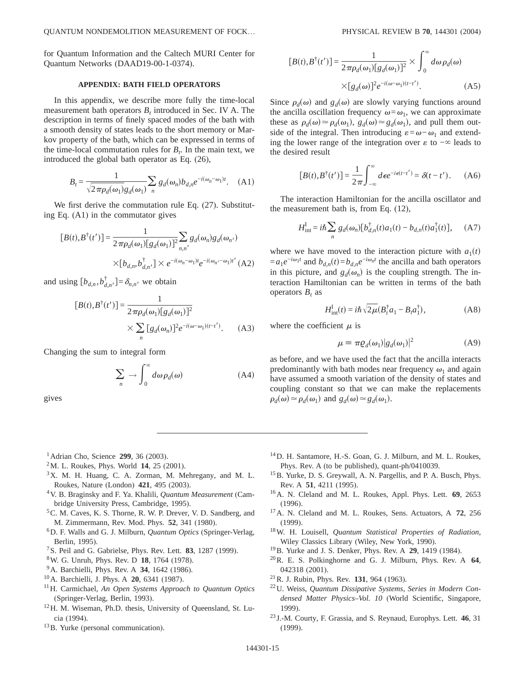for Quantum Information and the Caltech MURI Center for Quantum Networks (DAAD19-00-1-0374).

# **APPENDIX: BATH FIELD OPERATORS**

In this appendix, we describe more fully the time-local measurement bath operators  $B_t$  introduced in Sec. IV A. The description in terms of finely spaced modes of the bath with a smooth density of states leads to the short memory or Markov property of the bath, which can be expressed in terms of the time-local commutation rules for  $B_t$ . In the main text, we introduced the global bath operator as Eq. (26),

$$
B_t = \frac{1}{\sqrt{2\pi \rho_d(\omega_1)} g_d(\omega_1)} \sum_n g_d(\omega_n) b_{d,n} e^{-i(\omega_n - \omega_1)t}.
$$
 (A1)

We first derive the commutation rule Eq. (27). Substituting Eq. (A1) in the commutator gives

$$
[B(t),B^{\dagger}(t')] = \frac{1}{2\pi\rho_d(\omega_1)[g_d(\omega_1)]^2} \sum_{n,n'} g_d(\omega_n)g_d(\omega_{n'})
$$

$$
\times [b_{d,n}, b_{d,n'}^{\dagger}] \times e^{-i(\omega_n - \omega_1)t} e^{-i(\omega_{n'} - \omega_1)t'} \text{ (A2)}
$$

and using  $[b_{d,n}, b_{d,n'}^{\dagger}] = \delta_{n,n'}$  we obtain

$$
[B(t), B^{\dagger}(t')] = \frac{1}{2\pi\rho_d(\omega_1)[g_d(\omega_1)]^2}
$$

$$
\times \sum_n [g_d(\omega_n)]^2 e^{-i(\omega-\omega_1)(t-t')}.
$$
 (A3)

Changing the sum to integral form

$$
\sum_{n} \rightarrow \int_{0}^{\infty} d\omega \rho_{d}(\omega) \tag{A4}
$$

gives

$$
[B(t),B^{\dagger}(t')] = \frac{1}{2\pi\rho_d(\omega_1)[g_d(\omega_1)]^2} \times \int_0^{\infty} d\omega \rho_d(\omega)
$$

$$
\times [g_d(\omega)]^2 e^{-i(\omega-\omega_1)(t-t')}.
$$
(A5)

Since  $\rho_d(\omega)$  and  $g_d(\omega)$  are slowly varying functions around the ancilla oscillation frequency  $\omega = \omega_1$ , we can approximate these as  $\rho_d(\omega) \approx \rho_d(\omega_1)$ ,  $g_d(\omega) \approx g_d(\omega_1)$ , and pull them outside of the integral. Then introducing  $\varepsilon = \omega - \omega_1$  and extending the lower range of the integration over  $\varepsilon$  to  $-\infty$  leads to the desired result

$$
[B(t),B^{\dagger}(t')] = \frac{1}{2\pi} \int_{-\infty}^{\infty} d\epsilon e^{-i\epsilon(t-t')} = \delta(t-t'). \quad (A6)
$$

The interaction Hamiltonian for the ancilla oscillator and the measurement bath is, from Eq. (12),

$$
H_{\text{int}}^{\text{I}} = i\hbar \sum_{n} g_d(\omega_n) \big[ b_{d,n}^{\dagger}(t) a_1(t) - b_{d,n}(t) a_1^{\dagger}(t) \big], \quad \text{(A7)}
$$

where we have moved to the interaction picture with  $a_1(t)$  $=a_1e^{-i\omega_1t}$  and  $b_{d,n}(t)=b_{d,n}e^{-i\omega_nt}$  the ancilla and bath operators in this picture, and  $g_d(\omega_n)$  is the coupling strength. The interaction Hamiltonian can be written in terms of the bath operators  $B_t$  as

$$
H_{\text{int}}^{\text{I}}(t) = i\hbar \sqrt{2\mu} (B_t^{\dagger} a_1 - B_t a_1^{\dagger}), \tag{A8}
$$

where the coefficient  $\mu$  is

$$
\mu \equiv \pi \varrho_d(\omega_1) |g_d(\omega_1)|^2 \tag{A9}
$$

as before, and we have used the fact that the ancilla interacts predominantly with bath modes near frequency  $\omega_1$  and again have assumed a smooth variation of the density of states and coupling constant so that we can make the replacements  $\rho_d(\omega) \approx \rho_d(\omega_1)$  and  $g_d(\omega) \approx g_d(\omega_1)$ .

1Adrian Cho, Science **299**, 36 (2003).

- 2M. L. Roukes, Phys. World **14**, 25 (2001).
- $3X$ . M. H. Huang, C. A. Zorman, M. Mehregany, and M. L. Roukes, Nature (London) **421**, 495 (2003).
- 4V. B. Braginsky and F. Ya. Khalili, *Quantum Measurement* (Cambridge University Press, Cambridge, 1995).
- 5C. M. Caves, K. S. Thorne, R. W. P. Drever, V. D. Sandberg, and M. Zimmermann, Rev. Mod. Phys. **52**, 341 (1980).
- 6D. F. Walls and G. J. Milburn, *Quantum Optics* (Springer-Verlag, Berlin, 1995).
- 7S. Peil and G. Gabrielse, Phys. Rev. Lett. **83**, 1287 (1999).
- 8W. G. Unruh, Phys. Rev. D **18**, 1764 (1978).
- 9A. Barchielli, Phys. Rev. A **34**, 1642 (1986).
- 10A. Barchielli, J. Phys. A **20**, 6341 (1987).
- 11H. Carmichael, *An Open Systems Approach to Quantum Optics* (Springer-Verlag, Berlin, 1993).
- 12H. M. Wiseman, Ph.D. thesis, University of Queensland, St. Lucia (1994).
- 13B. Yurke (personal communication).
- 14D. H. Santamore, H.-S. Goan, G. J. Milburn, and M. L. Roukes, Phys. Rev. A (to be published), quant-ph/0410039.
- 15B. Yurke, D. S. Greywall, A. N. Pargellis, and P. A. Busch, Phys. Rev. A **51**, 4211 (1995).
- 16A. N. Cleland and M. L. Roukes, Appl. Phys. Lett. **69**, 2653 (1996).
- 17A. N. Cleland and M. L. Roukes, Sens. Actuators, A **72**, 256 (1999).
- 18W. H. Louisell, *Quantum Statistical Properties of Radiation*, Wiley Classics Library (Wiley, New York, 1990).
- 19B. Yurke and J. S. Denker, Phys. Rev. A **29**, 1419 (1984).
- 20R. E. S. Polkinghorne and G. J. Milburn, Phys. Rev. A **64**, 042318 (2001).
- 21R. J. Rubin, Phys. Rev. **131**, 964 (1963).
- 22U. Weiss, *Quantum Dissipative Systems, Series in Modern Condensed Matter Physics–Vol. 10* (World Scientific, Singapore, 1999).
- <sup>23</sup> J.-M. Courty, F. Grassia, and S. Reynaud, Europhys. Lett. **46**, 31 (1999).